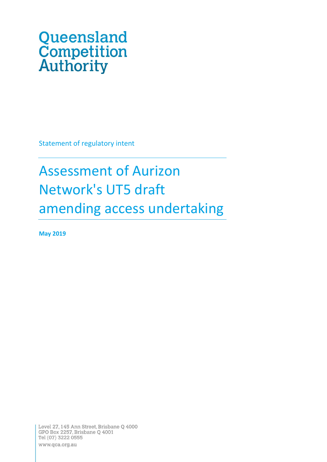# Queensland **Competition**<br>**Authority**

Statement of regulatory intent

# Assessment of Aurizon Network's UT5 draft amending access undertaking

**May 2019**

Level 27, 145 Ann Street, Brisbane Q 4000 GPO Box 2257, Brisbane Q 4001 Tel (07) 3222 0555 www.qca.org.au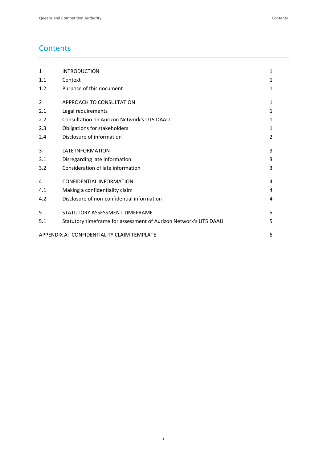# **Contents**

| $\mathbf{1}$                                    | <b>INTRODUCTION</b>                                              | 1             |  |  |
|-------------------------------------------------|------------------------------------------------------------------|---------------|--|--|
| 1.1                                             | Context                                                          | 1             |  |  |
| 1.2                                             | Purpose of this document                                         | 1             |  |  |
| 2                                               | APPROACH TO CONSULTATION                                         | 1             |  |  |
| 2.1                                             | Legal requirements                                               | 1             |  |  |
| 2.2                                             | Consultation on Aurizon Network's UT5 DAAU                       | 1             |  |  |
| 2.3                                             | Obligations for stakeholders                                     | 1.            |  |  |
| 2.4                                             | Disclosure of information                                        | $\mathcal{P}$ |  |  |
| 3                                               | <b>LATE INFORMATION</b>                                          | 3             |  |  |
| 3.1                                             | Disregarding late information                                    | 3             |  |  |
| 3.2                                             | Consideration of late information                                | 3             |  |  |
| 4                                               | <b>CONFIDENTIAL INFORMATION</b>                                  | 4             |  |  |
| 4.1                                             | Making a confidentiality claim                                   | 4             |  |  |
| 4.2                                             | Disclosure of non-confidential information                       | 4             |  |  |
| 5                                               | STATUTORY ASSESSMENT TIMEFRAME                                   | 5             |  |  |
| 5.1                                             | Statutory timeframe for assessment of Aurizon Network's UT5 DAAU | 5             |  |  |
| APPENDIX A: CONFIDENTIALITY CLAIM TEMPLATE<br>6 |                                                                  |               |  |  |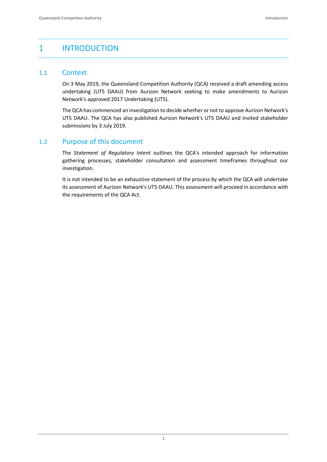# <span id="page-2-0"></span>1 INTRODUCTION

#### <span id="page-2-1"></span>1.1 Context

On 3 May 2019, the Queensland Competition Authority (QCA) received a draft amending access undertaking (UT5 DAAU) from Aurizon Network seeking to make amendments to Aurizon Network's approved 2017 Undertaking (UT5).

The QCA has commenced an investigation to decide whether or not to approve Aurizon Network's UT5 DAAU. The QCA has also published Aurizon Network's UT5 DAAU and invited stakeholder submissions by 3 July 2019.

#### <span id="page-2-2"></span>1.2 Purpose of this document

The *Statement of Regulatory Intent* outlines the QCA's intended approach for information gathering processes, stakeholder consultation and assessment timeframes throughout our investigation.

It is not intended to be an exhaustive statement of the process by which the QCA will undertake its assessment of Aurizon Network's UT5 DAAU. This assessment will proceed in accordance with the requirements of the QCA Act.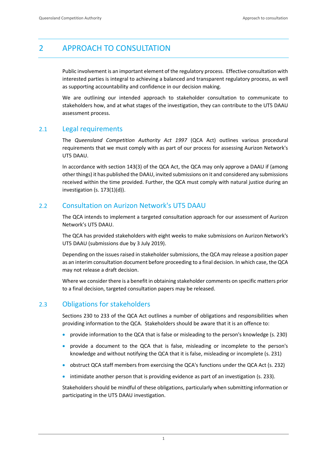# <span id="page-3-0"></span>2 APPROACH TO CONSULTATION

Public involvement is an important element of the regulatory process. Effective consultation with interested parties is integral to achieving a balanced and transparent regulatory process, as well as supporting accountability and confidence in our decision making.

We are outlining our intended approach to stakeholder consultation to communicate to stakeholders how, and at what stages of the investigation, they can contribute to the UT5 DAAU assessment process.

#### <span id="page-3-1"></span>2.1 Legal requirements

The *Queensland Competition Authority Act 1997* (QCA Act) outlines various procedural requirements that we must comply with as part of our process for assessing Aurizon Network's UT5 DAAU.

In accordance with section 143(3) of the QCA Act, the QCA may only approve a DAAU if (among other things) it has published the DAAU, invited submissions on it and considered any submissions received within the time provided. Further, the QCA must comply with natural justice during an investigation (s. 173(1)(d)).

#### <span id="page-3-2"></span>2.2 Consultation on Aurizon Network's UT5 DAAU

The QCA intends to implement a targeted consultation approach for our assessment of Aurizon Network's UT5 DAAU.

The QCA has provided stakeholders with eight weeks to make submissions on Aurizon Network's UT5 DAAU (submissions due by 3 July 2019).

Depending on the issues raised in stakeholder submissions, the QCA may release a position paper as an interim consultation document before proceeding to a final decision. In which case, the QCA may not release a draft decision.

Where we consider there is a benefit in obtaining stakeholder comments on specific matters prior to a final decision, targeted consultation papers may be released.

## <span id="page-3-3"></span>2.3 Obligations for stakeholders

Sections 230 to 233 of the QCA Act outlines a number of obligations and responsibilities when providing information to the QCA. Stakeholders should be aware that it is an offence to:

- provide information to the QCA that is false or misleading to the person's knowledge (s. 230)
- provide a document to the QCA that is false, misleading or incomplete to the person's knowledge and without notifying the QCA that it is false, misleading or incomplete (s. 231)
- obstruct QCA staff members from exercising the QCA's functions under the QCA Act (s. 232)
- intimidate another person that is providing evidence as part of an investigation (s. 233).

Stakeholders should be mindful of these obligations, particularly when submitting information or participating in the UT5 DAAU investigation.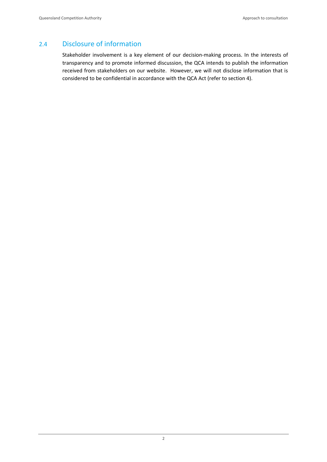## <span id="page-4-0"></span>2.4 Disclosure of information

Stakeholder involvement is a key element of our decision-making process. In the interests of transparency and to promote informed discussion, the QCA intends to publish the information received from stakeholders on our website. However, we will not disclose information that is considered to be confidential in accordance with the QCA Act (refer to section [4\)](#page-6-0).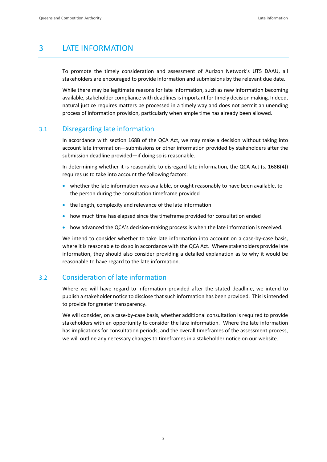# <span id="page-5-0"></span>3 LATE INFORMATION

To promote the timely consideration and assessment of Aurizon Network's UT5 DAAU, all stakeholders are encouraged to provide information and submissions by the relevant due date.

While there may be legitimate reasons for late information, such as new information becoming available, stakeholder compliance with deadlines is important for timely decision making. Indeed, natural justice requires matters be processed in a timely way and does not permit an unending process of information provision, particularly when ample time has already been allowed.

#### <span id="page-5-1"></span>3.1 Disregarding late information

In accordance with section 168B of the QCA Act, we may make a decision without taking into account late information—submissions or other information provided by stakeholders after the submission deadline provided—if doing so is reasonable.

In determining whether it is reasonable to disregard late information, the QCA Act (s. 168B(4)) requires us to take into account the following factors:

- whether the late information was available, or ought reasonably to have been available, to the person during the consultation timeframe provided
- the length, complexity and relevance of the late information
- how much time has elapsed since the timeframe provided for consultation ended
- how advanced the QCA's decision-making process is when the late information is received.

We intend to consider whether to take late information into account on a case-by-case basis. where it is reasonable to do so in accordance with the QCA Act. Where stakeholders provide late information, they should also consider providing a detailed explanation as to why it would be reasonable to have regard to the late information.

#### <span id="page-5-2"></span>3.2 Consideration of late information

Where we will have regard to information provided after the stated deadline, we intend to publish a stakeholder notice to disclose that such information has been provided. This is intended to provide for greater transparency.

We will consider, on a case-by-case basis, whether additional consultation is required to provide stakeholders with an opportunity to consider the late information. Where the late information has implications for consultation periods, and the overall timeframes of the assessment process, we will outline any necessary changes to timeframes in a stakeholder notice on our website.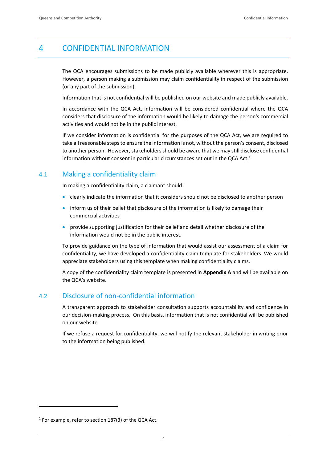# <span id="page-6-0"></span>4 CONFIDENTIAL INFORMATION

The QCA encourages submissions to be made publicly available wherever this is appropriate. However, a person making a submission may claim confidentiality in respect of the submission (or any part of the submission).

Information that is not confidential will be published on our website and made publicly available.

In accordance with the QCA Act, information will be considered confidential where the QCA considers that disclosure of the information would be likely to damage the person's commercial activities and would not be in the public interest.

If we consider information is confidential for the purposes of the QCA Act, we are required to take all reasonable steps to ensure the information is not, without the person's consent, disclosed to another person. However, stakeholders should be aware that we may still disclose confidential information without consent in particular circumstances set out in the QCA Act.<sup>1</sup>

#### <span id="page-6-1"></span>4.1 Making a confidentiality claim

In making a confidentiality claim, a claimant should:

- clearly indicate the information that it considers should not be disclosed to another person
- inform us of their belief that disclosure of the information is likely to damage their commercial activities
- provide supporting justification for their belief and detail whether disclosure of the information would not be in the public interest.

To provide guidance on the type of information that would assist our assessment of a claim for confidentiality, we have developed a confidentiality claim template for stakeholders. We would appreciate stakeholders using this template when making confidentiality claims.

A copy of the confidentiality claim template is presented in **Appendix A** and will be available on the QCA's website.

#### <span id="page-6-2"></span>4.2 Disclosure of non-confidential information

A transparent approach to stakeholder consultation supports accountability and confidence in our decision-making process. On this basis, information that is not confidential will be published on our website.

If we refuse a request for confidentiality, we will notify the relevant stakeholder in writing prior to the information being published.

 $\overline{a}$ 

 $1$  For example, refer to section 187(3) of the QCA Act.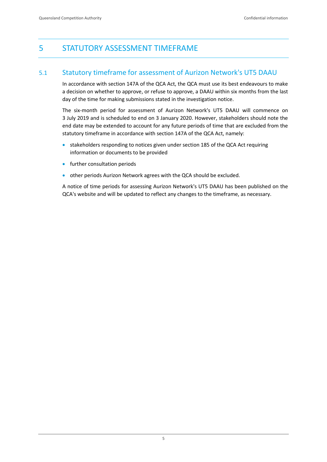# <span id="page-7-0"></span>5 STATUTORY ASSESSMENT TIMEFRAME

#### <span id="page-7-1"></span>5.1 Statutory timeframe for assessment of Aurizon Network's UT5 DAAU

In accordance with section 147A of the QCA Act, the QCA must use its best endeavours to make a decision on whether to approve, or refuse to approve, a DAAU within six months from the last day of the time for making submissions stated in the investigation notice.

The six-month period for assessment of Aurizon Network's UT5 DAAU will commence on 3 July 2019 and is scheduled to end on 3 January 2020. However, stakeholders should note the end date may be extended to account for any future periods of time that are excluded from the statutory timeframe in accordance with section 147A of the QCA Act, namely:

- stakeholders responding to notices given under section 185 of the QCA Act requiring information or documents to be provided
- **•** further consultation periods
- other periods Aurizon Network agrees with the QCA should be excluded.

A notice of time periods for assessing Aurizon Network's UT5 DAAU has been published on the QCA's website and will be updated to reflect any changes to the timeframe, as necessary.